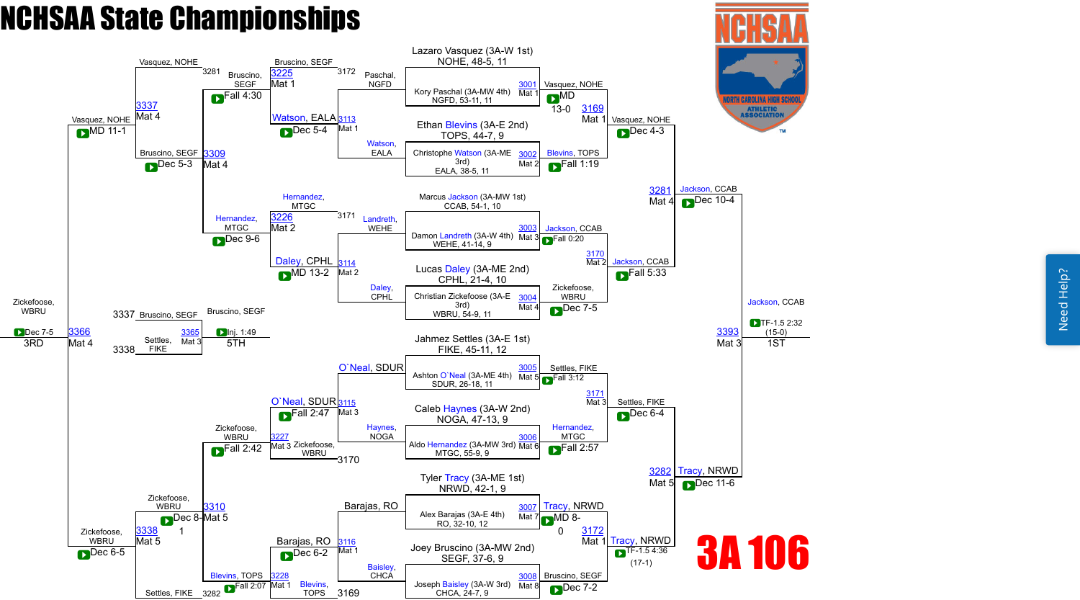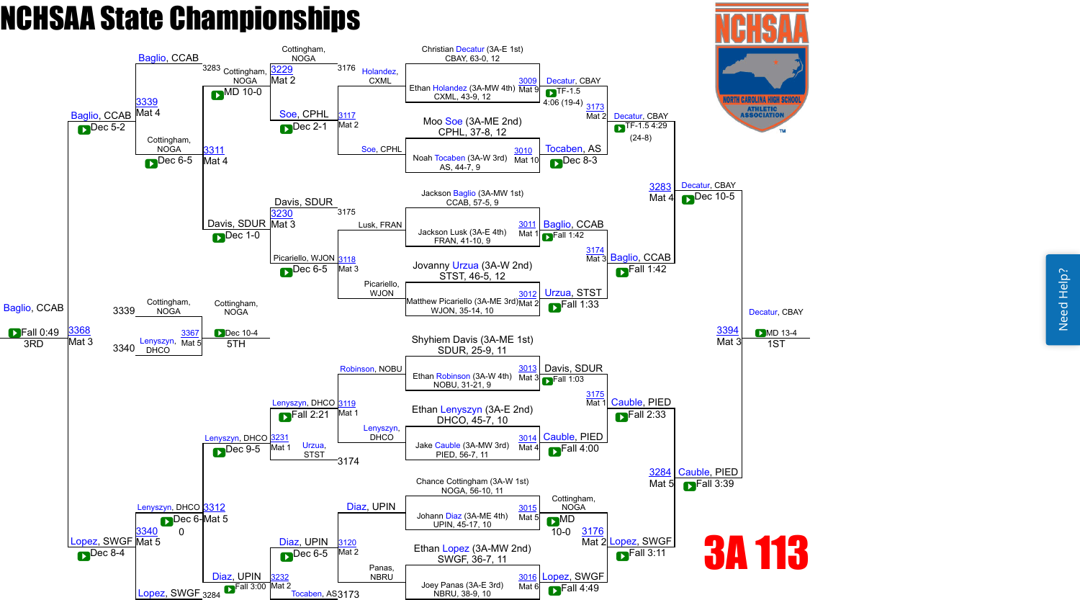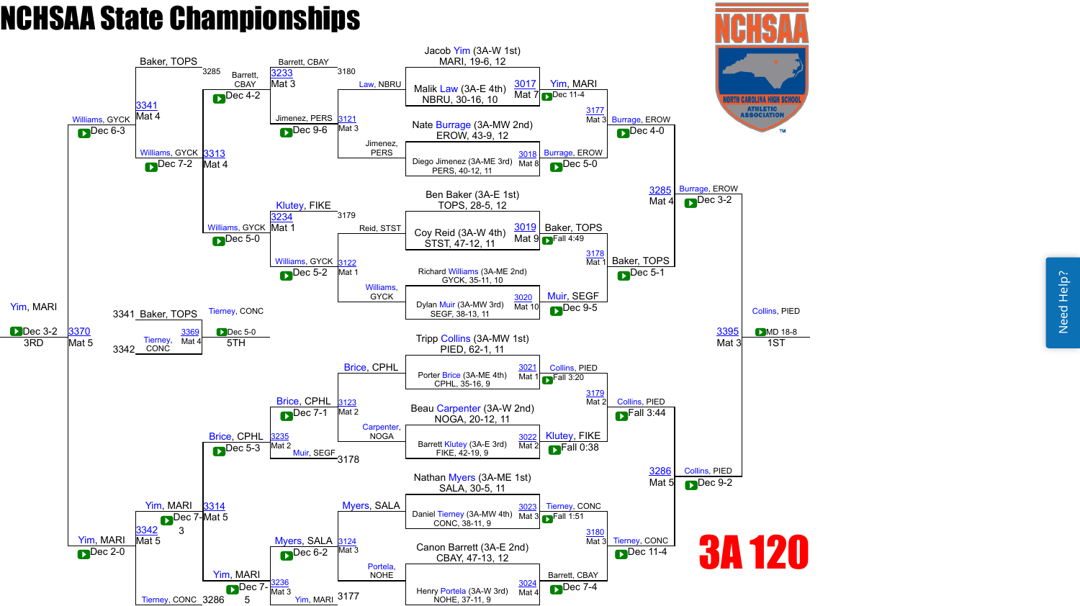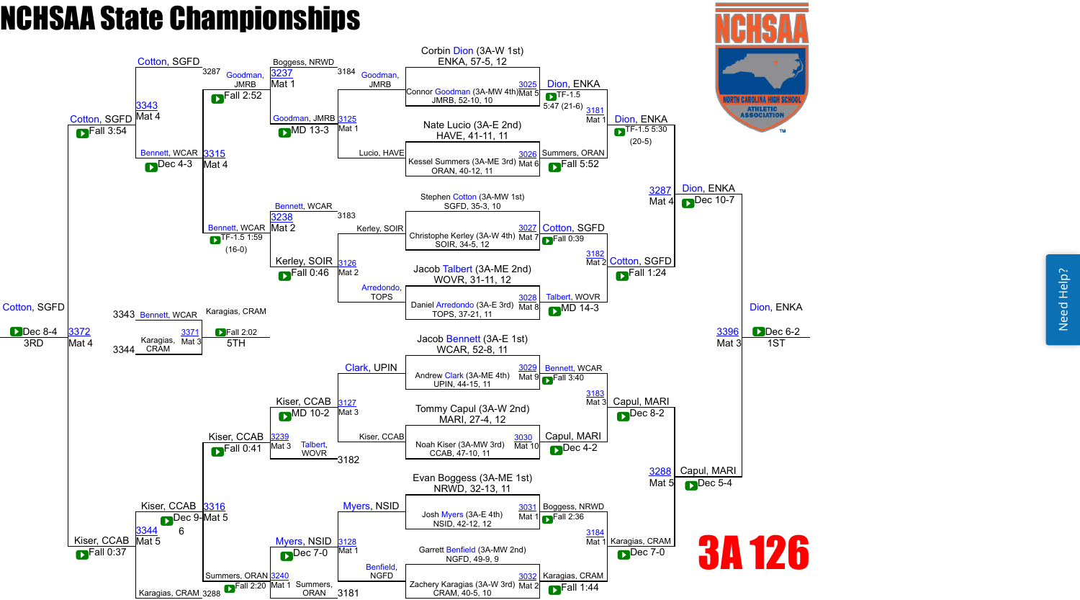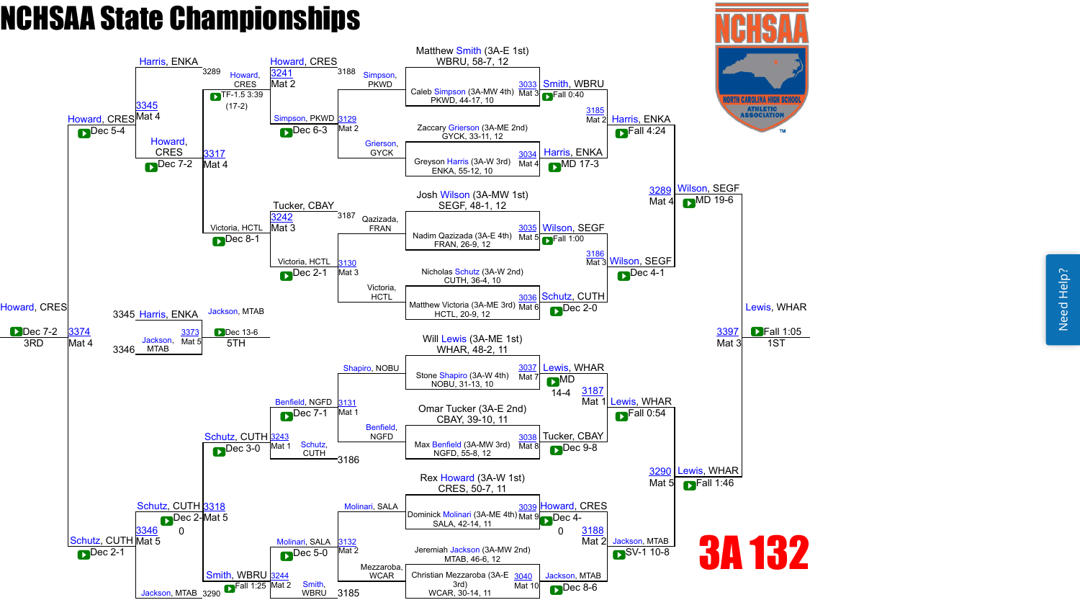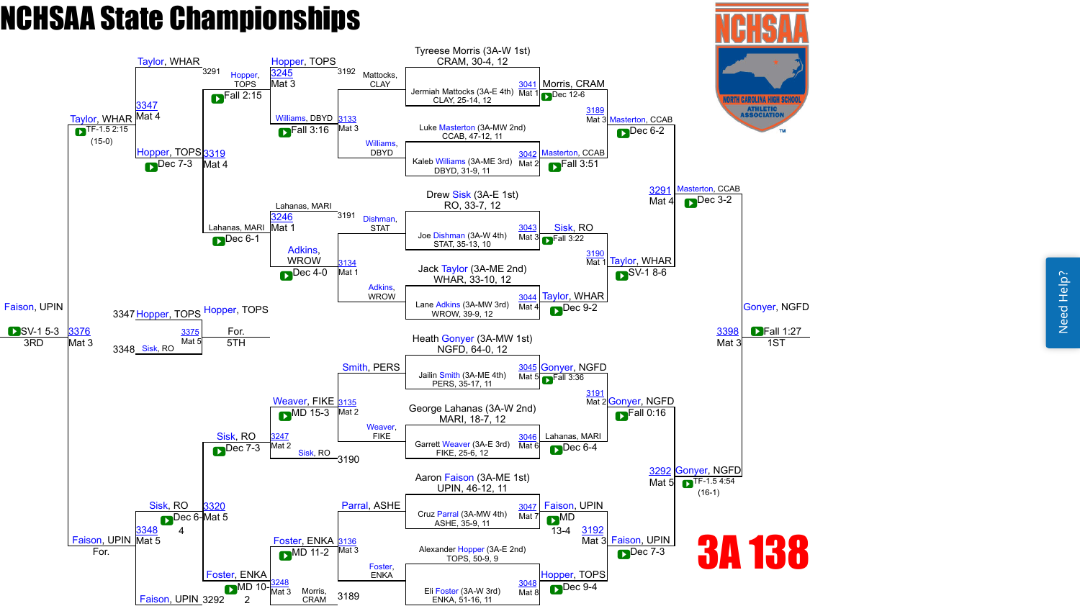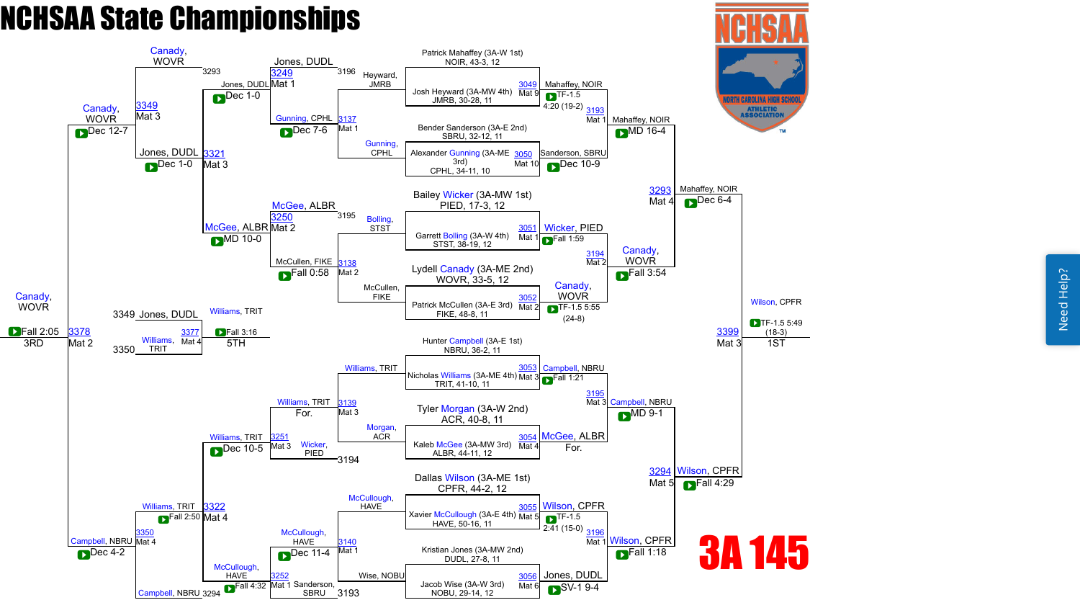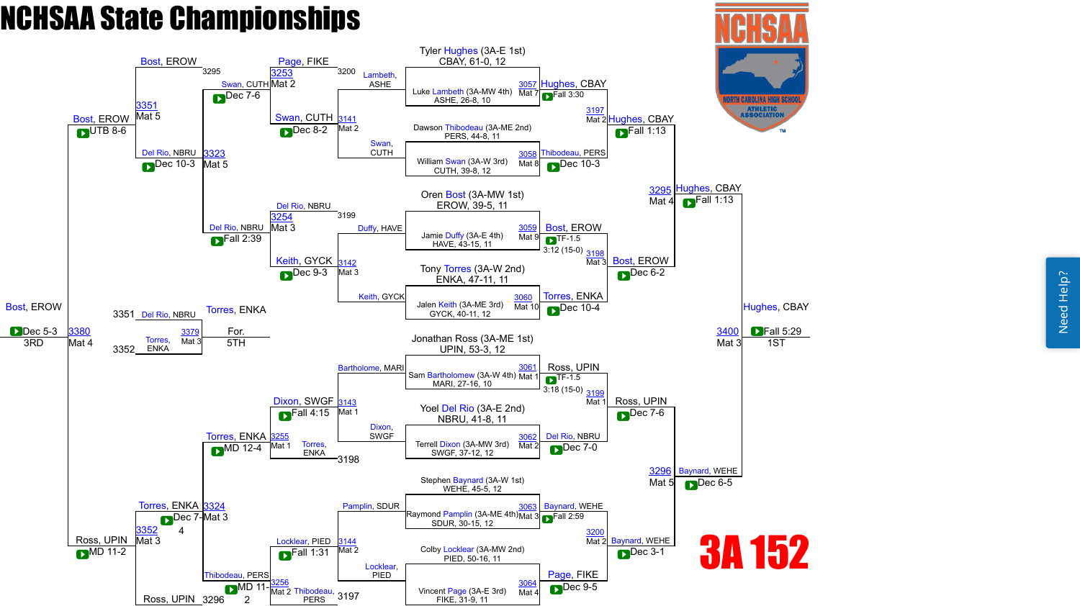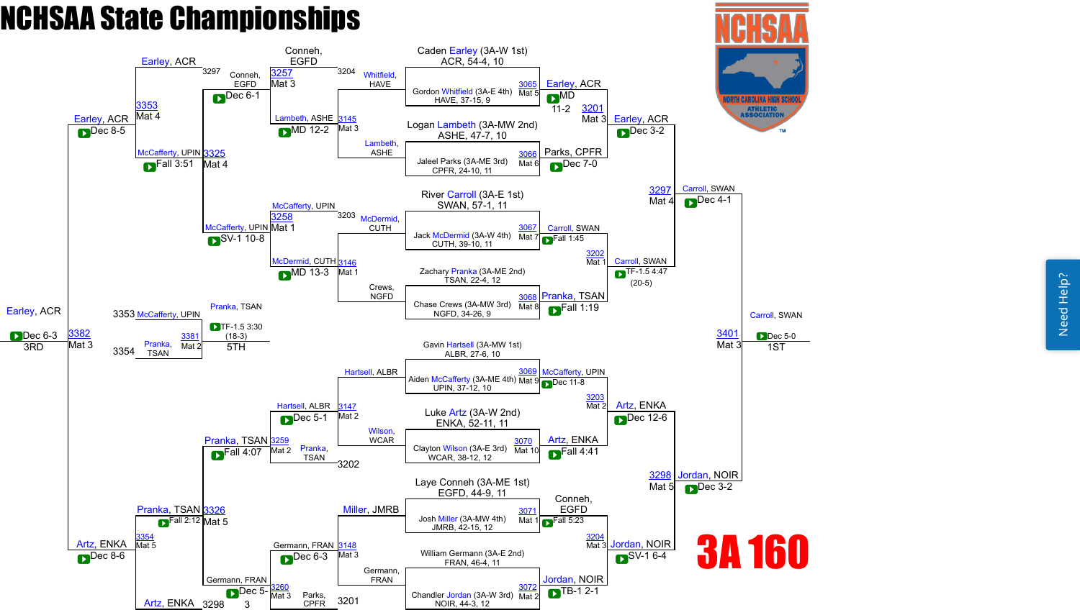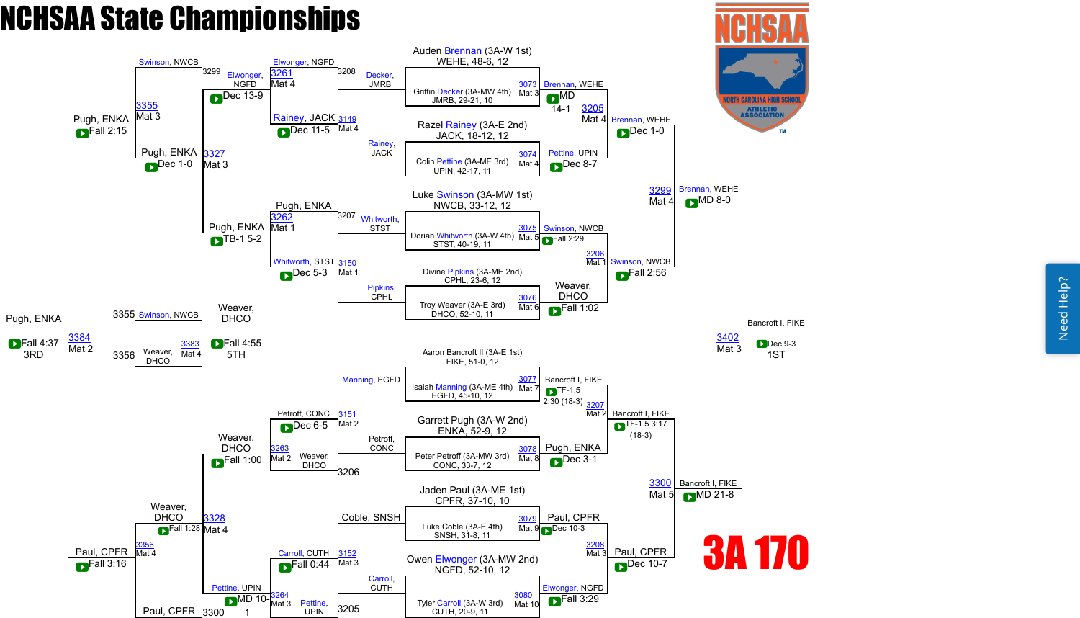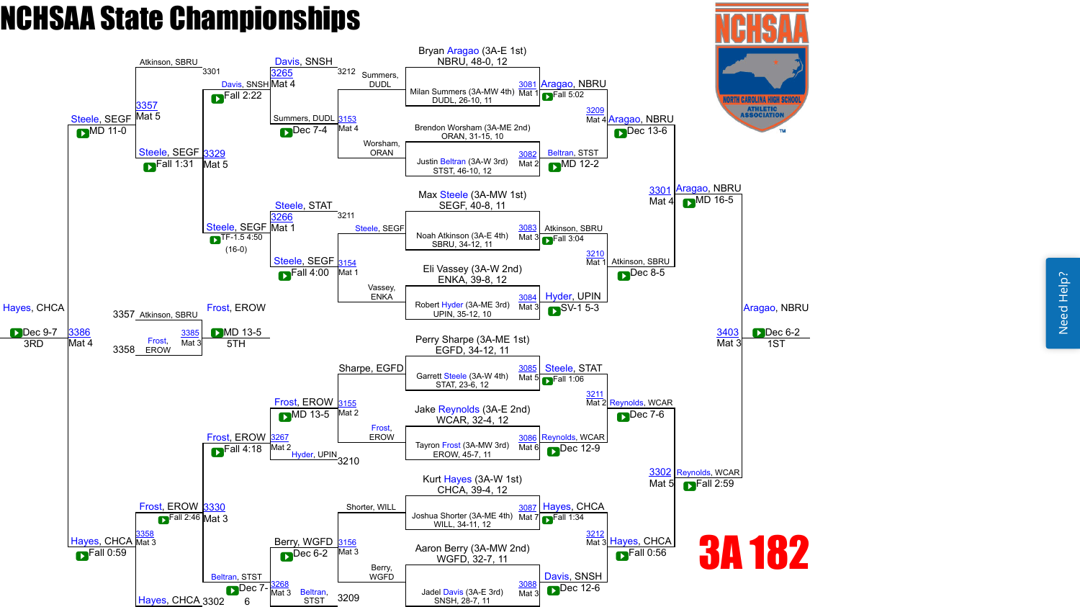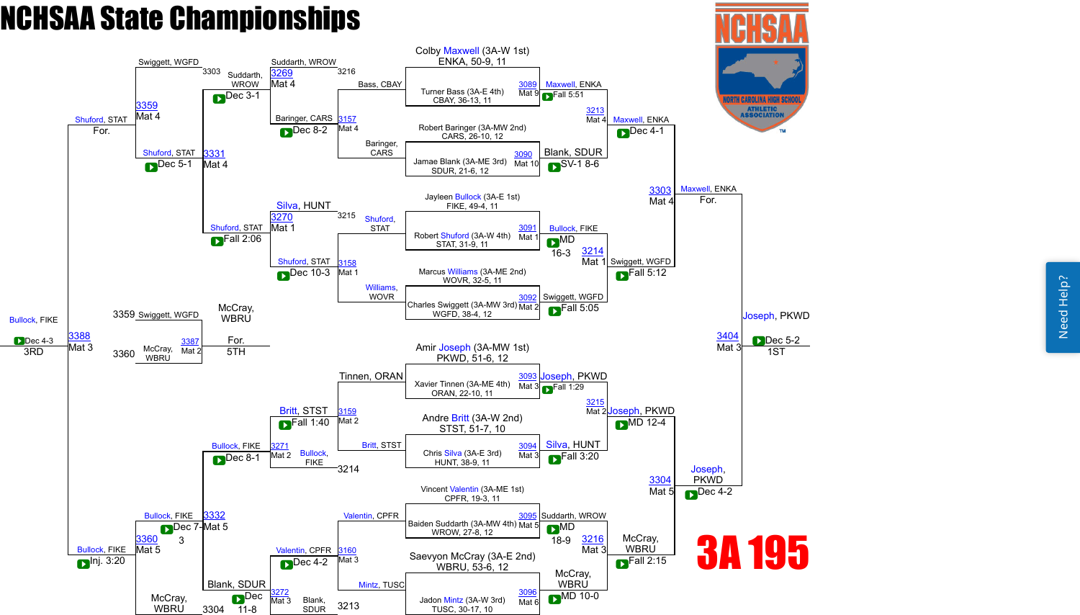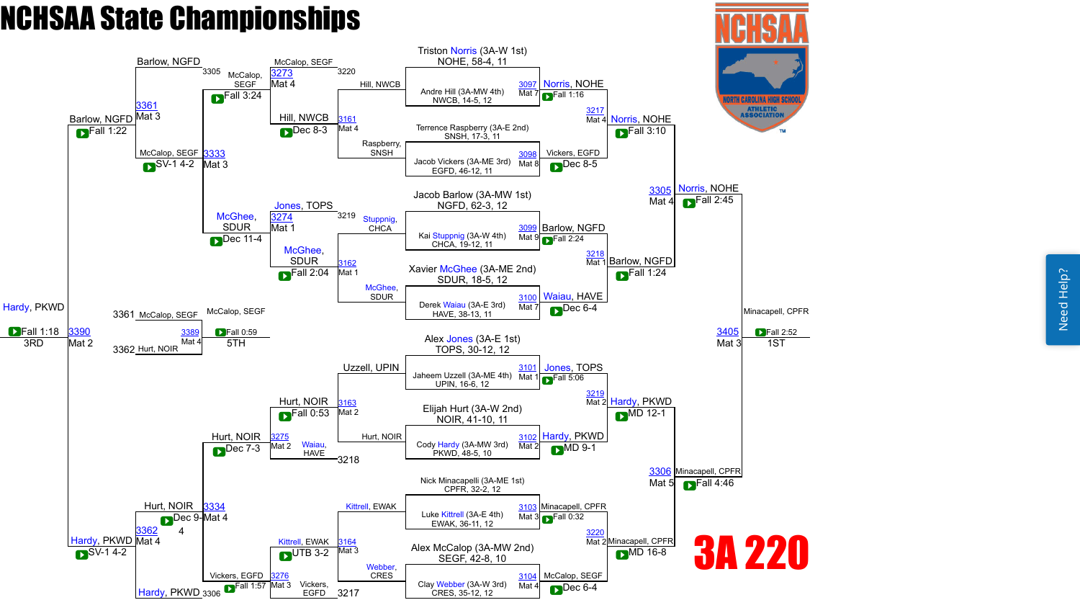